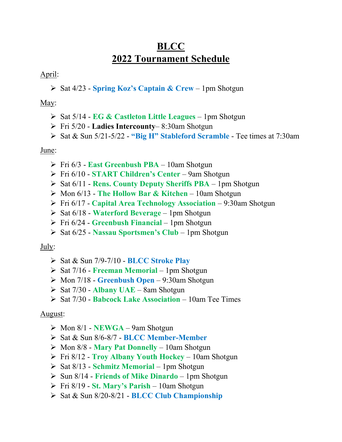# BLCC 2022 Tournament Schedule

### April:

 $\triangleright$  Sat 4/23 - Spring Koz's Captain & Crew – 1pm Shotgun

### May:

- $\triangleright$  Sat 5/14 EG & Castleton Little Leagues 1pm Shotgun
- $\triangleright$  Fri 5/20 **Ladies Intercounty** 8:30am Shotgun
- $\triangleright$  Sat & Sun 5/21-5/22 "Big H" Stableford Scramble Tee times at 7:30am

### June:

- $\triangleright$  Fri 6/3 East Greenbush PBA 10am Shotgun
- Fri 6/10 START Children's Center 9am Shotgun
- $\triangleright$  Sat 6/11 Rens. County Deputy Sheriffs PBA 1pm Shotgun
- $\triangleright$  Mon 6/13 The Hollow Bar & Kitchen 10am Shotgun
- $\triangleright$  Fri 6/17 Capital Area Technology Association 9:30am Shotgun
- $\triangleright$  Sat 6/18 Waterford Beverage 1pm Shotgun
- $\triangleright$  Fri 6/24 Greenbush Financial 1pm Shotgun
- $\triangleright$  Sat 6/25 Nassau Sportsmen's Club 1pm Shotgun

### July:

- $\triangleright$  Sat & Sun 7/9-7/10 BLCC Stroke Play
- $\triangleright$  Sat 7/16 Freeman Memorial 1pm Shotgun
- $\triangleright$  Mon 7/18 Greenbush Open 9:30am Shotgun
- $\triangleright$  Sat 7/30 Albany UAE 8am Shotgun
- $\triangleright$  Sat 7/30 Babcock Lake Association 10am Tee Times

## August:

- $\triangleright$  Mon 8/1 NEWGA 9am Shotgun
- ▶ Sat & Sun 8/6-8/7 BLCC Member-Member
- $\triangleright$  Mon 8/8 Mary Pat Donnelly 10am Shotgun
- $\triangleright$  Fri 8/12 Troy Albany Youth Hockey 10am Shotgun
- $\triangleright$  Sat 8/13 Schmitz Memorial 1pm Shotgun
- $\triangleright$  Sun 8/14 Friends of Mike Dinardo 1pm Shotgun
- $\triangleright$  Fri 8/19 St. Mary's Parish 10am Shotgun
- $\triangleright$  Sat & Sun 8/20-8/21 BLCC Club Championship